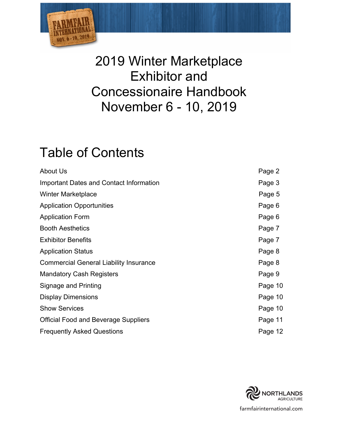

# 2019 Winter Marketplace Exhibitor and Concessionaire Handbook November 6 - 10, 2019

# Table of Contents

| About Us                                      | Page 2  |
|-----------------------------------------------|---------|
| Important Dates and Contact Information       | Page 3  |
| <b>Winter Marketplace</b>                     | Page 5  |
| <b>Application Opportunities</b>              | Page 6  |
| <b>Application Form</b>                       | Page 6  |
| <b>Booth Aesthetics</b>                       | Page 7  |
| <b>Exhibitor Benefits</b>                     | Page 7  |
| <b>Application Status</b>                     | Page 8  |
| <b>Commercial General Liability Insurance</b> | Page 8  |
| <b>Mandatory Cash Registers</b>               | Page 9  |
| Signage and Printing                          | Page 10 |
| <b>Display Dimensions</b>                     | Page 10 |
| <b>Show Services</b>                          | Page 10 |
| <b>Official Food and Beverage Suppliers</b>   | Page 11 |
| <b>Frequently Asked Questions</b>             | Page 12 |

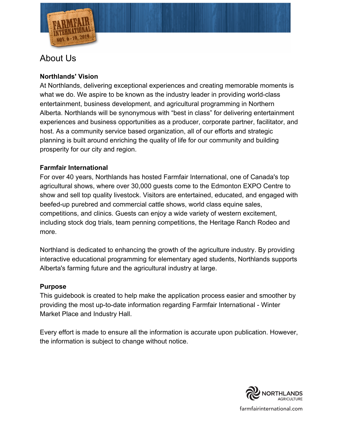

# About Us

### **Northlands' Vision**

At Northlands, delivering exceptional experiences and creating memorable moments is what we do. We aspire to be known as the industry leader in providing world-class entertainment, business development, and agricultural programming in Northern Alberta. Northlands will be synonymous with "best in class" for delivering entertainment experiences and business opportunities as a producer, corporate partner, facilitator, and host. As a community service based organization, all of our efforts and strategic planning is built around enriching the quality of life for our community and building prosperity for our city and region.

### **Farmfair International**

For over 40 years, Northlands has hosted Farmfair International, one of Canada's top agricultural shows, where over 30,000 guests come to the Edmonton EXPO Centre to show and sell top quality livestock. Visitors are entertained, educated, and engaged with beefed-up purebred and commercial cattle shows, world class equine sales, competitions, and clinics. Guests can enjoy a wide variety of western excitement, including stock dog trials, team penning competitions, the Heritage Ranch Rodeo and more.

Northland is dedicated to enhancing the growth of the agriculture industry. By providing interactive educational programming for elementary aged students, Northlands supports Alberta's farming future and the agricultural industry at large.

### **Purpose**

This guidebook is created to help make the application process easier and smoother by providing the most up-to-date information regarding Farmfair International - Winter Market Place and Industry Hall.

Every effort is made to ensure all the information is accurate upon publication. However, the information is subject to change without notice.

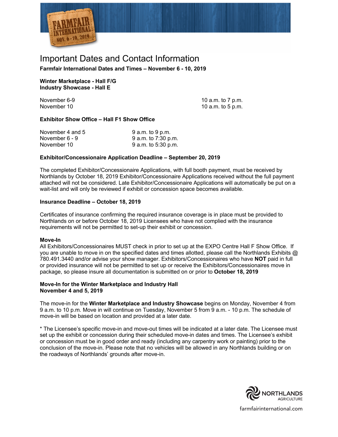

### Important Dates and Contact Information

**Farmfair International Dates and Times – November 6 - 10, 2019** 

**Winter Marketplace - Hall F/G Industry Showcase - Hall E**

November 6-9 November 10

10 a.m. to 7 p.m. 10 a.m. to 5 p.m.

### **Exhibitor Show Office – Hall F1 Show Office**

| November 4 and 5 | $9$ a.m. to $9$ p.m. |
|------------------|----------------------|
| November 6 - 9   | 9 a.m. to 7:30 p.m.  |
| November 10      | 9 a.m. to 5:30 p.m.  |

#### **Exhibitor/Concessionaire Application Deadline – September 20, 2019**

The completed Exhibitor/Concessionaire Applications, with full booth payment, must be received by Northlands by October 18, 2019 Exhibitor/Concessionaire Applications received without the full payment attached will not be considered. Late Exhibitor/Concessionaire Applications will automatically be put on a wait-list and will only be reviewed if exhibit or concession space becomes available.

#### **Insurance Deadline – October 18, 2019**

Certificates of insurance confirming the required insurance coverage is in place must be provided to Northlands on or before October 18, 2019 Licensees who have not complied with the insurance requirements will not be permitted to set-up their exhibit or concession.

#### **Move-In**

All Exhibitors/Concessionaires MUST check in prior to set up at the EXPO Centre Hall F Show Office. If you are unable to move in on the specified dates and times allotted, please call the Northlands Exhibits @ 780.491.3440 and/or advise your show manager. Exhibitors/Concessionaires who have **NOT** paid in full or provided insurance will not be permitted to set up or receive the Exhibitors/Concessionaires move in package, so please insure all documentation is submitted on or prior to **October 18, 2019**

#### **Move-In for the Winter Marketplace and Industry Hall November 4 and 5, 2019**

The move-in for the **Winter Marketplace and Industry Showcase** begins on Monday, November 4 from 9 a.m. to 10 p.m. Move in will continue on Tuesday, November 5 from 9 a.m. - 10 p.m. The schedule of move-in will be based on location and provided at a later date.

\* The Licensee's specific move-in and move-out times will be indicated at a later date. The Licensee must set up the exhibit or concession during their scheduled move-in dates and times. The Licensee's exhibit or concession must be in good order and ready (including any carpentry work or painting) prior to the conclusion of the move-in. Please note that no vehicles will be allowed in any Northlands building or on the roadways of Northlands' grounds after move-in.

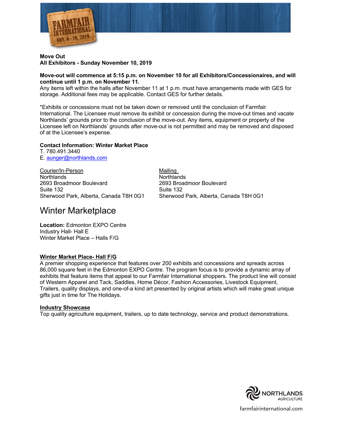

#### **Move Out All Exhibitors - Sunday November 10, 2019**

#### **Move-out will commence at 5:15 p.m. on November 10 for all Exhibitors/Concessionaires, and will continue until 1 p.m. on November 11.**

Any items left within the halls after November 11 at 1 p.m. must have arrangements made with GES for storage. Additional fees may be applicable. Contact GES for further details.

\*Exhibits or concessions must not be taken down or removed until the conclusion of Farmfair International. The Licensee must remove its exhibit or concession during the move-out times and vacate Northlands' grounds prior to the conclusion of the move-out. Any items, equipment or property of the Licensee left on Northlands' grounds after move-out is not permitted and may be removed and disposed of at the Licensee's expense.

#### **Contact Information: Winter Market Place**

T. 780.491.3440 E. aunger@northlands,com

Courier/In-Person Mailing Northlands Northlands 2693 Broadmoor Boulevard 2693 Broadmoor Boulevard Suite 132 Suite 132 Sherwood Park, Alberta, Canada T8H 0G1 Sherwood Park, Alberta, Canada T8H 0G1

### Winter Marketplace

**Location:** Edmonton EXPO Centre Industry Hall- Hall E Winter Market Place – Halls F/G

### **Winter Market Place- Hall F/G**

A premier shopping experience that features over 200 exhibits and concessions and spreads across 86,000 square feet in the Edmonton EXPO Centre. The program focus is to provide a dynamic array of exhibits that feature items that appeal to our Farmfair International shoppers. The product line will consist of Western Apparel and Tack, Saddles, Home Décor, Fashion Accessories, Livestock Equipment, Trailers, quality displays, and one-of-a kind art presented by original artists which will make great unique gifts just in time for The Holidays.

#### **Industry Showcase**

Top quality agriculture equipment, trailers, up to date technology, service and product demonstrations.

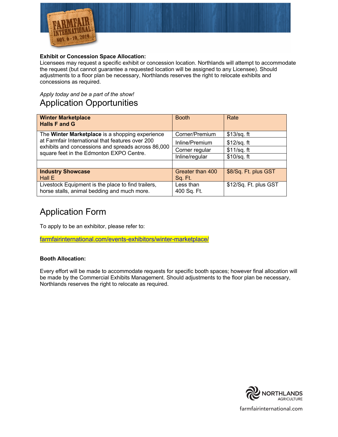

### **Exhibit or Concession Space Allocation:**

Licensees may request a specific exhibit or concession location. Northlands will attempt to accommodate the request (but cannot guarantee a requested location will be assigned to any Licensee). Should adjustments to a floor plan be necessary, Northlands reserves the right to relocate exhibits and concessions as required.

### *Apply today and be a part of the show!* Application Opportunities

| <b>Winter Marketplace</b><br><b>Halls F and G</b>                                                                                                                                                     | <b>Booth</b>             | Rate                  |
|-------------------------------------------------------------------------------------------------------------------------------------------------------------------------------------------------------|--------------------------|-----------------------|
| The Winter Marketplace is a shopping experience<br>at Farmfair International that features over 200<br>exhibits and concessions and spreads across 86,000<br>square feet in the Edmonton EXPO Centre. | Corner/Premium           | \$13/sq. ft           |
|                                                                                                                                                                                                       | Inline/Premium           | $$12$ /sq. ft         |
|                                                                                                                                                                                                       | Corner regular           | $$11/sq.$ ft          |
|                                                                                                                                                                                                       | Inline/regular           | $$10/sq.$ ft          |
|                                                                                                                                                                                                       |                          |                       |
| <b>Industry Showcase</b>                                                                                                                                                                              | Greater than 400         | \$8/Sq. Ft. plus GST  |
| Hall E                                                                                                                                                                                                | Sq. Ft.                  |                       |
| Livestock Equipment is the place to find trailers,<br>horse stalls, animal bedding and much more.                                                                                                     | Less than<br>400 Sq. Ft. | \$12/Sq. Ft. plus GST |

### Application Form

To apply to be an exhibitor, please refer to:

farmfairinternational.com/events-exhibitors/winter-marketplace/

### **Booth Allocation:**

Every effort will be made to accommodate requests for specific booth spaces; however final allocation will be made by the Commercial Exhibits Management. Should adjustments to the floor plan be necessary, Northlands reserves the right to relocate as required.

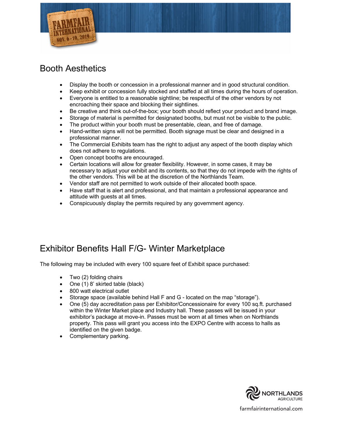

### Booth Aesthetics

- Display the booth or concession in a professional manner and in good structural condition.
- Keep exhibit or concession fully stocked and staffed at all times during the hours of operation.
- Everyone is entitled to a reasonable sightline; be respectful of the other vendors by not encroaching their space and blocking their sightlines.
- Be creative and think out-of-the-box; your booth should reflect your product and brand image.
- Storage of material is permitted for designated booths, but must not be visible to the public.
- The product within your booth must be presentable, clean, and free of damage.
- Hand-written signs will not be permitted. Booth signage must be clear and designed in a professional manner.
- The Commercial Exhibits team has the right to adjust any aspect of the booth display which does not adhere to regulations.
- Open concept booths are encouraged.
- Certain locations will allow for greater flexibility. However, in some cases, it may be necessary to adjust your exhibit and its contents, so that they do not impede with the rights of the other vendors. This will be at the discretion of the Northlands Team.
- Vendor staff are not permitted to work outside of their allocated booth space.
- Have staff that is alert and professional, and that maintain a professional appearance and attitude with guests at all times.
- Conspicuously display the permits required by any government agency.

### Exhibitor Benefits Hall F/G- Winter Marketplace

The following may be included with every 100 square feet of Exhibit space purchased:

- Two (2) folding chairs
- One (1) 8' skirted table (black)
- 800 watt electrical outlet
- Storage space (available behind Hall F and G located on the map "storage").
- One (5) day accreditation pass per Exhibitor/Concessionaire for every 100 sq.ft. purchased within the Winter Market place and Industry hall. These passes will be issued in your exhibitor's package at move-in. Passes must be worn at all times when on Northlands property. This pass will grant you access into the EXPO Centre with access to halls as identified on the given badge.
- Complementary parking.

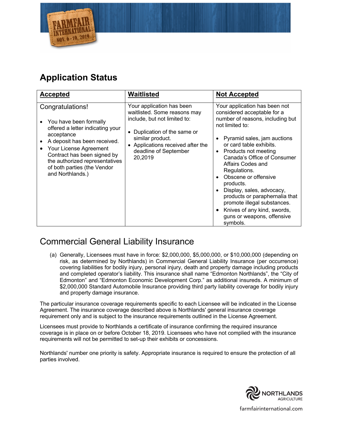

# **Application Status**

| <b>Accepted</b>                                                                                                                                                                                                                                                            | Waitlisted                                                                                                                                                                                                             | <b>Not Accepted</b>                                                                                                                                                                                                                                                                                                                                                                                                                                                                   |
|----------------------------------------------------------------------------------------------------------------------------------------------------------------------------------------------------------------------------------------------------------------------------|------------------------------------------------------------------------------------------------------------------------------------------------------------------------------------------------------------------------|---------------------------------------------------------------------------------------------------------------------------------------------------------------------------------------------------------------------------------------------------------------------------------------------------------------------------------------------------------------------------------------------------------------------------------------------------------------------------------------|
| Congratulations!<br>You have been formally<br>offered a letter indicating your<br>acceptance<br>A deposit has been received.<br>Your License Agreement<br>Contract has been signed by<br>the authorized representatives<br>of both parties (the Vendor<br>and Northlands.) | Your application has been<br>waitlisted. Some reasons may<br>include, but not limited to:<br>• Duplication of the same or<br>similar product.<br>• Applications received after the<br>deadline of September<br>20,2019 | Your application has been not<br>considered acceptable for a<br>number of reasons, including but<br>not limited to:<br>Pyramid sales, jam auctions<br>or card table exhibits.<br>Products not meeting<br>Canada's Office of Consumer<br>Affairs Codes and<br>Regulations.<br>Obscene or offensive<br>products.<br>Display, sales, advocacy,<br>products or paraphernalia that<br>promote illegal substances.<br>Knives of any kind, swords,<br>guns or weapons, offensive<br>symbols. |

## Commercial General Liability Insurance

(a) Generally, Licensees must have in force: \$2,000,000, \$5,000,000, or \$10,000,000 (depending on risk, as determined by Northlands) in Commercial General Liability Insurance (per occurrence) covering liabilities for bodily injury, personal injury, death and property damage including products and completed operator's liability. This insurance shall name "Edmonton Northlands", the "City of Edmonton" and "Edmonton Economic Development Corp." as additional insureds. A minimum of \$2,000,000 Standard Automobile Insurance providing third party liability coverage for bodily injury and property damage insurance.

The particular insurance coverage requirements specific to each Licensee will be indicated in the License Agreement. The insurance coverage described above is Northlands' general insurance coverage requirement only and is subject to the insurance requirements outlined in the License Agreement.

Licensees must provide to Northlands a certificate of insurance confirming the required insurance coverage is in place on or before October 18, 2019. Licensees who have not complied with the insurance requirements will not be permitted to set-up their exhibits or concessions.

Northlands' number one priority is safety. Appropriate insurance is required to ensure the protection of all parties involved.

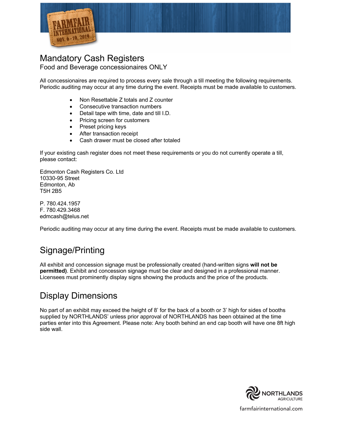

### Mandatory Cash Registers Food and Beverage concessionaires ONLY

All concessionaires are required to process every sale through a till meeting the following requirements. Periodic auditing may occur at any time during the event. Receipts must be made available to customers.

- Non Resettable Z totals and Z counter
- Consecutive transaction numbers
- Detail tape with time, date and till I.D.
- Pricing screen for customers
- Preset pricing keys
- After transaction receipt
- Cash drawer must be closed after totaled

If your existing cash register does not meet these requirements or you do not currently operate a till, please contact:

Edmonton Cash Registers Co. Ltd 10330-95 Street Edmonton, Ab T5H 2B5

P. 780.424.1957 F. 780.429.3468 edmcash@telus.net

Periodic auditing may occur at any time during the event. Receipts must be made available to customers.

# Signage/Printing

All exhibit and concession signage must be professionally created (hand-written signs **will not be permitted)**. Exhibit and concession signage must be clear and designed in a professional manner. Licensees must prominently display signs showing the products and the price of the products.

### Display Dimensions

No part of an exhibit may exceed the height of 8' for the back of a booth or 3' high for sides of booths supplied by NORTHLANDS' unless prior approval of NORTHLANDS has been obtained at the time parties enter into this Agreement. Please note: Any booth behind an end cap booth will have one 8ft high side wall.

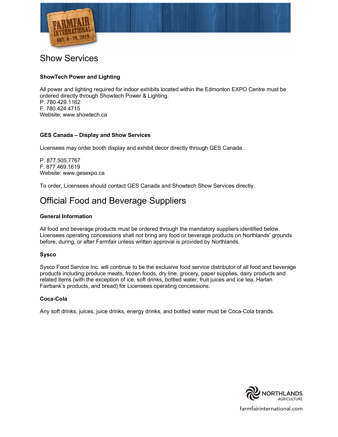

### Show Services

### **ShowTech Power and Lighting**

All power and lighting required for indoor exhibits located within the Edmonton EXPO Centre must be ordered directly through Showtech Power & Lighting. P. 780.429.1162 F. 780.424.4715 Website: www.showtech.ca

### **GES Canada – Display and Show Services**

Licensees may order booth display and exhibit decor directly through GES Canada.

P. 877.505.7767 F. 877.469.1619 Website: www.gesexpo.ca

To order, Licensees should contact GES Canada and Showtech Show Services directly.

### Official Food and Beverage Suppliers

#### **General Information**

All food and beverage products must be ordered through the mandatory suppliers identified below. Licensees operating concessions shall not bring any food or beverage products on Northlands' grounds before, during, or after Farmfair unless written approval is provided by Northlands.

### **Sysco**

Sysco Food Service Inc. will continue to be the exclusive food service distributor of all food and beverage products including produce meats, frozen foods, dry line, grocery, paper supplies, dairy products and related items (with the exception of ice, soft drinks, bottled water, fruit juices and ice tea, Harlan Fairbank's products, and bread) for Licensees operating concessions.

#### **Coca-Cola**

Any soft drinks, juices, juice drinks, energy drinks, and bottled water must be Coca-Cola brands.